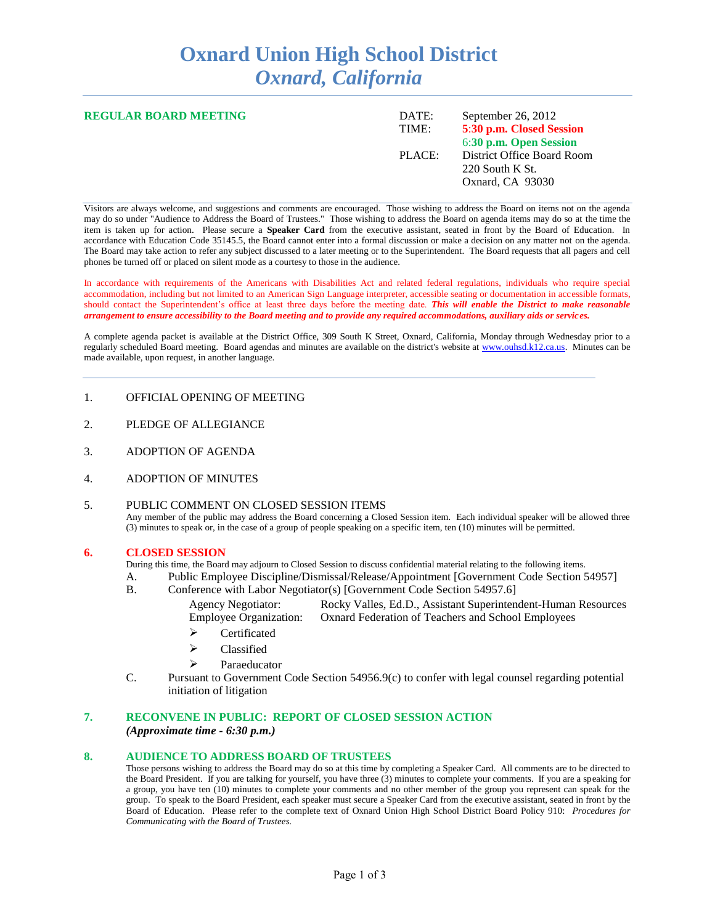# **Oxnard Union High School District** *Oxnard, California*

| <b>REGULAR BOARD MEETING</b> | DATE:<br>TIME: | September 26, 2012<br>5:30 p.m. Closed Session<br>6:30 p.m. Open Session |
|------------------------------|----------------|--------------------------------------------------------------------------|
|                              | PLACE:         | District Office Board Room<br>$220$ South K St.<br>Oxnard, CA 93030      |

Visitors are always welcome, and suggestions and comments are encouraged. Those wishing to address the Board on items not on the agenda may do so under "Audience to Address the Board of Trustees." Those wishing to address the Board on agenda items may do so at the time the item is taken up for action. Please secure a **Speaker Card** from the executive assistant, seated in front by the Board of Education. In accordance with Education Code 35145.5, the Board cannot enter into a formal discussion or make a decision on any matter not on the agenda. The Board may take action to refer any subject discussed to a later meeting or to the Superintendent. The Board requests that all pagers and cell phones be turned off or placed on silent mode as a courtesy to those in the audience.

In accordance with requirements of the Americans with Disabilities Act and related federal regulations, individuals who require special accommodation, including but not limited to an American Sign Language interpreter, accessible seating or documentation in accessible formats, should contact the Superintendent's office at least three days before the meeting date. *This will enable the District to make reasonable arrangement to ensure accessibility to the Board meeting and to provide any required accommodations, auxiliary aids or services.* 

A complete agenda packet is available at the District Office, 309 South K Street, Oxnard, California, Monday through Wednesday prior to a regularly scheduled Board meeting. Board agendas and minutes are available on the district's website at [www.ouhsd.k12.ca.us.](http://www.ouhsd.k12.ca.us/)Minutes can be made available, upon request, in another language.

## 1. OFFICIAL OPENING OF MEETING

- 2. PLEDGE OF ALLEGIANCE
- 3. ADOPTION OF AGENDA
- 4. ADOPTION OF MINUTES

## 5. PUBLIC COMMENT ON CLOSED SESSION ITEMS

Any member of the public may address the Board concerning a Closed Session item. Each individual speaker will be allowed three (3) minutes to speak or, in the case of a group of people speaking on a specific item, ten (10) minutes will be permitted.

#### **6. CLOSED SESSION**

During this time, the Board may adjourn to Closed Session to discuss confidential material relating to the following items.

- A. Public Employee Discipline/Dismissal/Release/Appointment [Government Code Section 54957]
- B. Conference with Labor Negotiator(s) [Government Code Section 54957.6]
	- Agency Negotiator: Rocky Valles, Ed.D., Assistant Superintendent-Human Resources Employee Organization: Oxnard Federation of Teachers and School Employees
		- $\triangleright$  Certificated
	- $\triangleright$  Classified
	- $\triangleright$  Paraeducator
- C. Pursuant to Government Code Section 54956.9(c) to confer with legal counsel regarding potential initiation of litigation

# **7. RECONVENE IN PUBLIC: REPORT OF CLOSED SESSION ACTION**

*(Approximate time - 6:30 p.m.)*

#### **8. AUDIENCE TO ADDRESS BOARD OF TRUSTEES**

Those persons wishing to address the Board may do so at this time by completing a Speaker Card. All comments are to be directed to the Board President. If you are talking for yourself, you have three (3) minutes to complete your comments. If you are a speaking for a group, you have ten (10) minutes to complete your comments and no other member of the group you represent can speak for the group. To speak to the Board President, each speaker must secure a Speaker Card from the executive assistant, seated in front by the Board of Education. Please refer to the complete text of Oxnard Union High School District Board Policy 910: *Procedures for Communicating with the Board of Trustees.*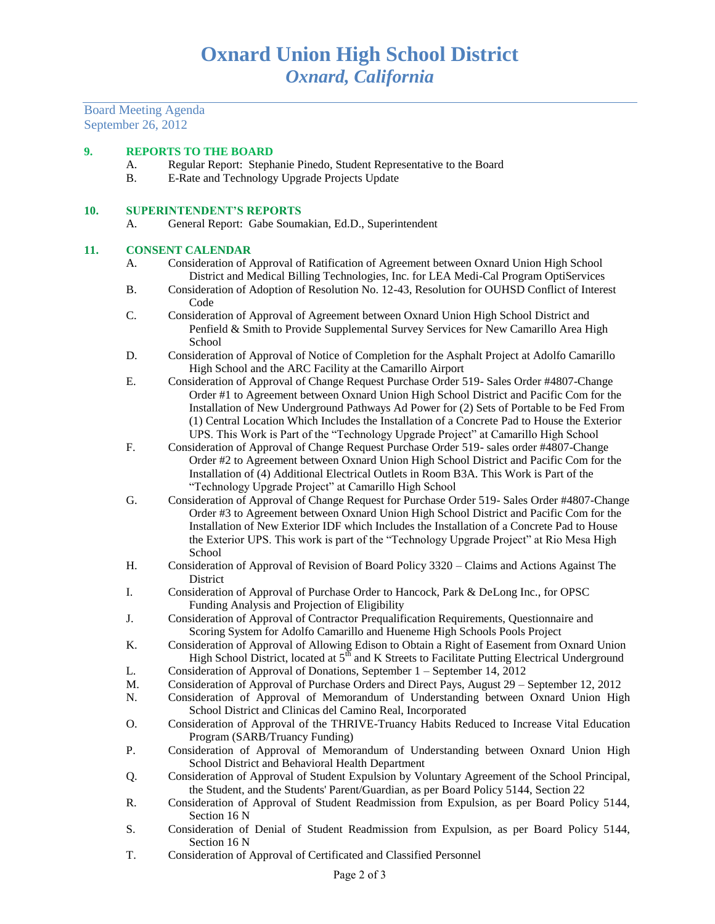Board Meeting Agenda September 26, 2012

#### **9. REPORTS TO THE BOARD**

- A. Regular Report: Stephanie Pinedo, Student Representative to the Board
- B. E-Rate and Technology Upgrade Projects Update

#### **10. SUPERINTENDENT'S REPORTS**

A. General Report: Gabe Soumakian, Ed.D., Superintendent

#### **11. CONSENT CALENDAR**

- A. Consideration of Approval of Ratification of Agreement between Oxnard Union High School District and Medical Billing Technologies, Inc. for LEA Medi-Cal Program OptiServices
- B. Consideration of Adoption of Resolution No. 12-43, Resolution for OUHSD Conflict of Interest Code
- C. Consideration of Approval of Agreement between Oxnard Union High School District and Penfield & Smith to Provide Supplemental Survey Services for New Camarillo Area High School
- D. Consideration of Approval of Notice of Completion for the Asphalt Project at Adolfo Camarillo High School and the ARC Facility at the Camarillo Airport
- E. Consideration of Approval of Change Request Purchase Order 519- Sales Order #4807-Change Order #1 to Agreement between Oxnard Union High School District and Pacific Com for the Installation of New Underground Pathways Ad Power for (2) Sets of Portable to be Fed From (1) Central Location Which Includes the Installation of a Concrete Pad to House the Exterior UPS. This Work is Part of the "Technology Upgrade Project" at Camarillo High School
- F. Consideration of Approval of Change Request Purchase Order 519- sales order #4807-Change Order #2 to Agreement between Oxnard Union High School District and Pacific Com for the Installation of (4) Additional Electrical Outlets in Room B3A. This Work is Part of the "Technology Upgrade Project" at Camarillo High School
- G. Consideration of Approval of Change Request for Purchase Order 519- Sales Order #4807-Change Order #3 to Agreement between Oxnard Union High School District and Pacific Com for the Installation of New Exterior IDF which Includes the Installation of a Concrete Pad to House the Exterior UPS. This work is part of the "Technology Upgrade Project" at Rio Mesa High School
- H. Consideration of Approval of Revision of Board Policy 3320 Claims and Actions Against The **District**
- I. Consideration of Approval of Purchase Order to Hancock, Park & DeLong Inc., for OPSC Funding Analysis and Projection of Eligibility
- J. Consideration of Approval of Contractor Prequalification Requirements, Questionnaire and Scoring System for Adolfo Camarillo and Hueneme High Schools Pools Project
- K. Consideration of Approval of Allowing Edison to Obtain a Right of Easement from Oxnard Union High School District, located at  $5<sup>th</sup>$  and K Streets to Facilitate Putting Electrical Underground
- L. Consideration of Approval of Donations, September 1 September 14, 2012
- M. Consideration of Approval of Purchase Orders and Direct Pays, August 29 September 12, 2012
- N. Consideration of Approval of Memorandum of Understanding between Oxnard Union High School District and Clinicas del Camino Real, Incorporated
- O. Consideration of Approval of the THRIVE-Truancy Habits Reduced to Increase Vital Education Program (SARB/Truancy Funding)
- P. Consideration of Approval of Memorandum of Understanding between Oxnard Union High School District and Behavioral Health Department
- Q. Consideration of Approval of Student Expulsion by Voluntary Agreement of the School Principal, the Student, and the Students' Parent/Guardian, as per Board Policy 5144, Section 22
- R. Consideration of Approval of Student Readmission from Expulsion, as per Board Policy 5144, Section 16 N
- S. Consideration of Denial of Student Readmission from Expulsion, as per Board Policy 5144, Section 16 N
- T. Consideration of Approval of Certificated and Classified Personnel